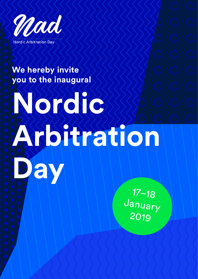

# **We hereby invite you to the inaugural**

# **Nordic Arbitration Day**

17–18 January 2019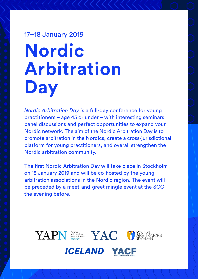# 17–18 January 2019 **Nordic Arbitration Day**

*Nordic Arbitration Day* is a full-day conference for young practitioners – age 45 or under – with interesting seminars, panel discussions and perfect opportunities to expand your Nordic network. The aim of the Nordic Arbitration Day is to promote arbitration in the Nordics, create a cross-jurisdictional platform for young practitioners, and overall strengthen the Nordic arbitration community.

The first Nordic Arbitration Day will take place in Stockholm on 18 January 2019 and will be co-hosted by the young arbitration associations in the Nordic region. The event will be preceded by a meet-and-greet mingle event at the SCC the evening before.

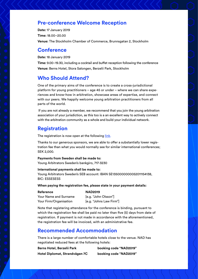# **Pre-conference Welcome Reception**

**Date:** 17 January 2019 **Time:** 18.00–20.00 **Venue:** The Stockholm Chamber of Commerce, Brunnsgatan 2, Stockholm

### **Conference**

**Date:** 18 January 2019

**Time:** 9.00–19.30, including a cocktail and buffet reception following the conference **Venue:** Berns Hotel, Stora Salongen, Berzelii Park, Stockholm

# **Who Should Attend?**

One of the primary aims of the conference is to create a cross-jurisdictional platform for young practitioners – age 45 or under – where we can share experiences and know-how in arbitration, showcase areas of expertise, and connect with our peers. We happily welcome young arbitration practitioners from all parts of the world.

 If you are not already a member, we recommend that you join the young arbitration association of your jurisdiction, as this too is a an excellent way to actively connect with the arbitration community as a whole and build your individual network.

# **Registration**

The registration is now open at the following [link.](https://forms.eu2.netsuite.com/app/site/crm/externalcustrecordpage.nl/compid.3538663/.f?formid=22&h=AACffht_uCk5C88euPWqCGnzuAN_TX8VmXE&custrecord_event_signup_web_parent=2013&redirect_count=1&did_javascript_redirect=T)

Thanks to our generous sponsors, we are able to offer a substantially lower registration fee than what you would normally see for similar international conferences; SEK 2,000.

**Payments from Sweden shall be made to:** Young Arbitrators Sweden's bankgiro, 717-3230

#### **International payments shall be made to:**

Young Arbitrators Sweden's SEB account: IBAN SE1350000000052011154138, BIC: ESSESESS

**When paying the registration fee, please state in your payment details:**

| <b>Reference</b>       | <b>NAD2019</b>          |
|------------------------|-------------------------|
| Your Name and Surname  | [e.g. "John Olsson"]    |
| Your Firm/Organisation | [e.g. "Johns Law Firm"] |

Note that registering attendance for the conference is binding, pursuant to which the registration fee shall be paid no later than five (5) days from date of registration. If payment is not made in accordance with the aforementioned, the registration fee will be invoiced, with an administrative fee.

## **Recommended Accommodation**

There is a large number of comfortable hotels close to the venue. NAD has negotiated reduced fees at the following hotels:

| Berns Hotel, Berzelii Park     | booking code "NAD2019" |
|--------------------------------|------------------------|
| Hotel Diplomat, Strandvägen 7C | booking code "NAD2019" |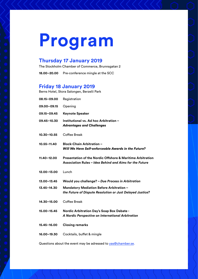# **Program**

# **Thursday 17 January 2019**

The Stockholm Chamber of Commerce, Brunnsgatan 2

**18.00–20.00** Pre-conference mingle at the SCC

## **Friday 18 January 2019**

|                 | Berns Hotel, Stora Salongen, Berzelii Park                                                                            |
|-----------------|-----------------------------------------------------------------------------------------------------------------------|
| 08.15-09.00     | Registration                                                                                                          |
| 09.00-09.15     | Opening                                                                                                               |
| 09.15-09.45     | <b>Keynote Speaker</b>                                                                                                |
| 09.45-10.30     | Institutional vs. Ad hoc Arbitration -<br><b>Advantages and Challenges</b>                                            |
| $10.30 - 10.55$ | Coffee Break                                                                                                          |
| 10.55-11.40     | <b>Block-Chain Arbitration -</b><br>Will We Have Self-enforceable Awards in the Future?                               |
| 11.40-12.00     | Presentation of the Nordic Offshore & Maritime Arbitration<br>Association Rules – Idea Behind and Aims for the Future |
| 12.00-13.00     | Lunch                                                                                                                 |
| 13.00-13.45     | Would you challenge? - Due Process in Arbitration                                                                     |
|                 |                                                                                                                       |
| 13.45-14.30     | Mandatory Mediation Before Arbitration -<br>the Future of Dispute Resolution or Just Delayed Justice?                 |
| 14.30-15.00     | Coffee Break                                                                                                          |
| 15.00-15.45     | <b>Nordic Arbitration Day's Soap Box Debate -</b><br>A Nordic Perspective on International Arbitration                |
| 15.45-16.00     | <b>Closing remarks</b>                                                                                                |

Questions about the event may be adressed to [yas@chamber.se.](mailto:yas%40chamber.se?subject=)